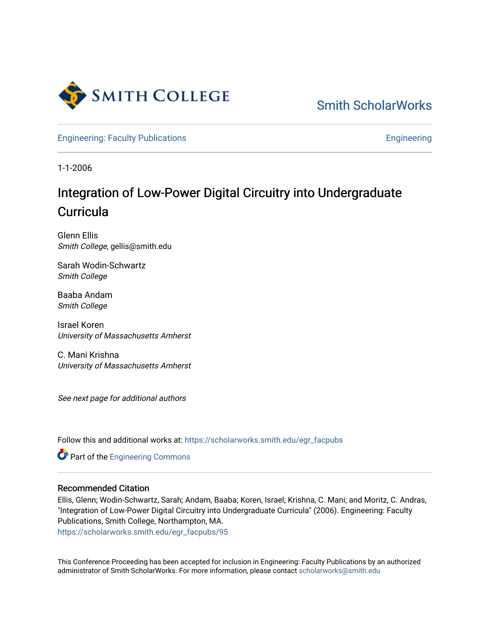

[Smith ScholarWorks](https://scholarworks.smith.edu/) 

[Engineering: Faculty Publications](https://scholarworks.smith.edu/egr_facpubs) **Engineering** 

1-1-2006

# Integration of Low-Power Digital Circuitry into Undergraduate **Curricula**

Glenn Ellis Smith College, gellis@smith.edu

Sarah Wodin-Schwartz Smith College

Baaba Andam Smith College

Israel Koren University of Massachusetts Amherst

C. Mani Krishna University of Massachusetts Amherst

See next page for additional authors

Follow this and additional works at: [https://scholarworks.smith.edu/egr\\_facpubs](https://scholarworks.smith.edu/egr_facpubs?utm_source=scholarworks.smith.edu%2Fegr_facpubs%2F95&utm_medium=PDF&utm_campaign=PDFCoverPages) 

**Part of the [Engineering Commons](http://network.bepress.com/hgg/discipline/217?utm_source=scholarworks.smith.edu%2Fegr_facpubs%2F95&utm_medium=PDF&utm_campaign=PDFCoverPages)** 

#### Recommended Citation

Ellis, Glenn; Wodin-Schwartz, Sarah; Andam, Baaba; Koren, Israel; Krishna, C. Mani; and Moritz, C. Andras, "Integration of Low-Power Digital Circuitry into Undergraduate Curricula" (2006). Engineering: Faculty Publications, Smith College, Northampton, MA. [https://scholarworks.smith.edu/egr\\_facpubs/95](https://scholarworks.smith.edu/egr_facpubs/95?utm_source=scholarworks.smith.edu%2Fegr_facpubs%2F95&utm_medium=PDF&utm_campaign=PDFCoverPages)

This Conference Proceeding has been accepted for inclusion in Engineering: Faculty Publications by an authorized administrator of Smith ScholarWorks. For more information, please contact [scholarworks@smith.edu](mailto:scholarworks@smith.edu)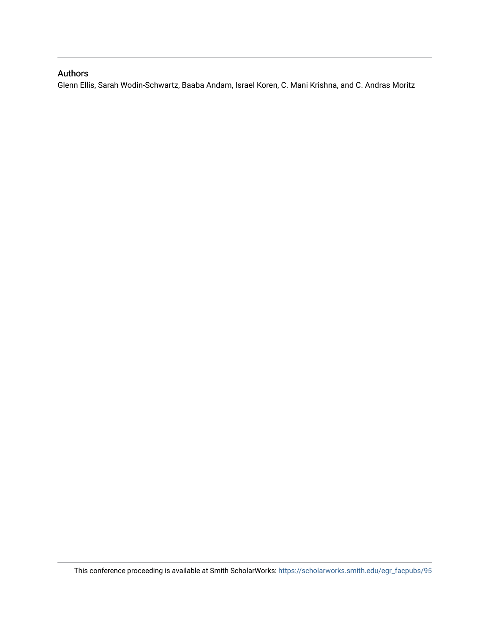# Authors

Glenn Ellis, Sarah Wodin-Schwartz, Baaba Andam, Israel Koren, C. Mani Krishna, and C. Andras Moritz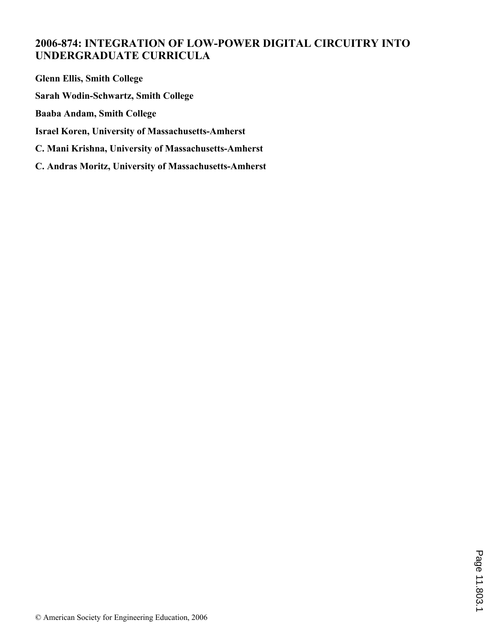# **2006-874: INTEGRATION OF LOW-POWER DIGITAL CIRCUITRY INTO UNDERGRADUATE CURRICULA**

**Glenn Ellis, Smith College Sarah Wodin-Schwartz, Smith College Baaba Andam, Smith College Israel Koren, University of Massachusetts-Amherst C. Mani Krishna, University of Massachusetts-Amherst C. Andras Moritz, University of Massachusetts-Amherst**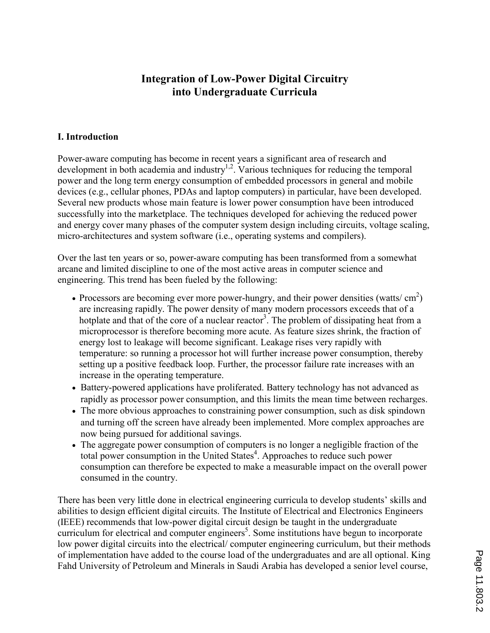# Integration of Low-Power Digital Circuitry into Undergraduate Curricula

## I. Introduction

Power-aware computing has become in recent years a significant area of research and development in both academia and industry<sup>1,2</sup>. Various techniques for reducing the temporal power and the long term energy consumption of embedded processors in general and mobile devices (e.g., cellular phones, PDAs and laptop computers) in particular, have been developed. Several new products whose main feature is lower power consumption have been introduced successfully into the marketplace. The techniques developed for achieving the reduced power and energy cover many phases of the computer system design including circuits, voltage scaling, micro-architectures and system software (i.e., operating systems and compilers).

Over the last ten years or so, power-aware computing has been transformed from a somewhat arcane and limited discipline to one of the most active areas in computer science and engineering. This trend has been fueled by the following:

- Processors are becoming ever more power-hungry, and their power densities (watts/ $\text{cm}^2$ ) are increasing rapidly. The power density of many modern processors exceeds that of a hotplate and that of the core of a nuclear reactor<sup>3</sup>. The problem of dissipating heat from a microprocessor is therefore becoming more acute. As feature sizes shrink, the fraction of energy lost to leakage will become significant. Leakage rises very rapidly with temperature: so running a processor hot will further increase power consumption, thereby setting up a positive feedback loop. Further, the processor failure rate increases with an increase in the operating temperature.
- Battery-powered applications have proliferated. Battery technology has not advanced as rapidly as processor power consumption, and this limits the mean time between recharges.
- The more obvious approaches to constraining power consumption, such as disk spindown and turning off the screen have already been implemented. More complex approaches are now being pursued for additional savings.
- The aggregate power consumption of computers is no longer a negligible fraction of the total power consumption in the United States<sup>4</sup>. Approaches to reduce such power consumption can therefore be expected to make a measurable impact on the overall power consumed in the country.

There has been very little done in electrical engineering curricula to develop students' skills and abilities to design efficient digital circuits. The Institute of Electrical and Electronics Engineers (IEEE) recommends that low-power digital circuit design be taught in the undergraduate curriculum for electrical and computer engineers<sup>5</sup>. Some institutions have begun to incorporate low power digital circuits into the electrical/ computer engineering curriculum, but their methods of implementation have added to the course load of the undergraduates and are all optional. King Fahd University of Petroleum and Minerals in Saudi Arabia has developed a senior level course,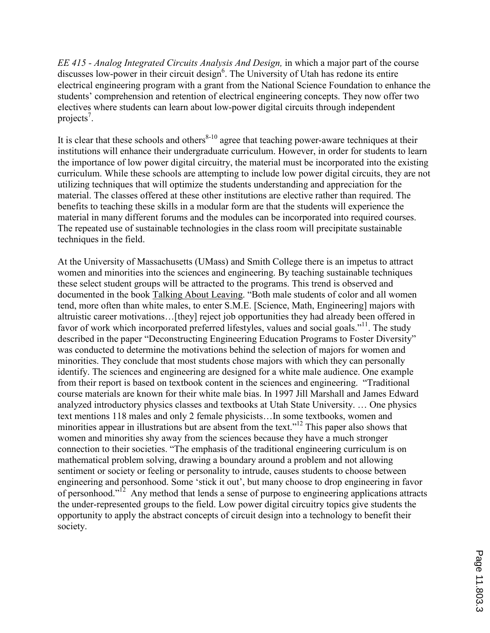EE 415 - Analog Integrated Circuits Analysis And Design, in which a major part of the course discusses low-power in their circuit design<sup>6</sup>. The University of Utah has redone its entire electrical engineering program with a grant from the National Science Foundation to enhance the students' comprehension and retention of electrical engineering concepts. They now offer two electives where students can learn about low-power digital circuits through independent projects<sup>7</sup>.

It is clear that these schools and others $8-10$  agree that teaching power-aware techniques at their institutions will enhance their undergraduate curriculum. However, in order for students to learn the importance of low power digital circuitry, the material must be incorporated into the existing curriculum. While these schools are attempting to include low power digital circuits, they are not utilizing techniques that will optimize the students understanding and appreciation for the material. The classes offered at these other institutions are elective rather than required. The benefits to teaching these skills in a modular form are that the students will experience the material in many different forums and the modules can be incorporated into required courses. The repeated use of sustainable technologies in the class room will precipitate sustainable techniques in the field.

At the University of Massachusetts (UMass) and Smith College there is an impetus to attract women and minorities into the sciences and engineering. By teaching sustainable techniques these select student groups will be attracted to the programs. This trend is observed and documented in the book Talking About Leaving. "Both male students of color and all women tend, more often than white males, to enter S.M.E. [Science, Math, Engineering] majors with altruistic career motivations…[they] reject job opportunities they had already been offered in favor of work which incorporated preferred lifestyles, values and social goals."<sup>11</sup>. The study described in the paper "Deconstructing Engineering Education Programs to Foster Diversity" was conducted to determine the motivations behind the selection of majors for women and minorities. They conclude that most students chose majors with which they can personally identify. The sciences and engineering are designed for a white male audience. One example from their report is based on textbook content in the sciences and engineering. "Traditional course materials are known for their white male bias. In 1997 Jill Marshall and James Edward analyzed introductory physics classes and textbooks at Utah State University. … One physics text mentions 118 males and only 2 female physicists…In some textbooks, women and minorities appear in illustrations but are absent from the text."<sup>12</sup> This paper also shows that women and minorities shy away from the sciences because they have a much stronger connection to their societies. "The emphasis of the traditional engineering curriculum is on mathematical problem solving, drawing a boundary around a problem and not allowing sentiment or society or feeling or personality to intrude, causes students to choose between engineering and personhood. Some 'stick it out', but many choose to drop engineering in favor of personhood."<sup>12</sup> Any method that lends a sense of purpose to engineering applications attracts the under-represented groups to the field. Low power digital circuitry topics give students the opportunity to apply the abstract concepts of circuit design into a technology to benefit their society.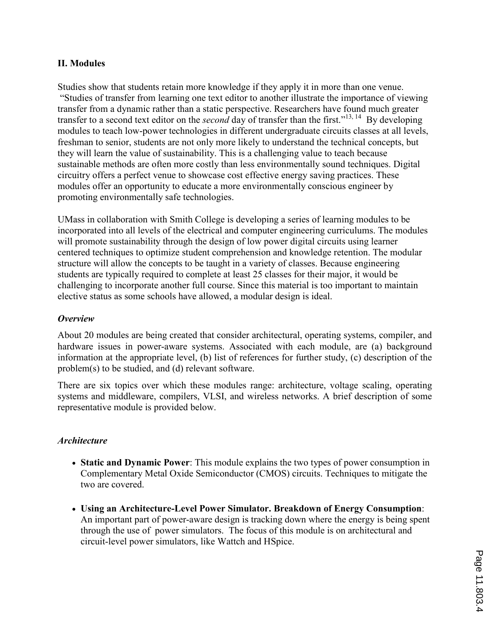## II. Modules

Studies show that students retain more knowledge if they apply it in more than one venue. "Studies of transfer from learning one text editor to another illustrate the importance of viewing transfer from a dynamic rather than a static perspective. Researchers have found much greater transfer to a second text editor on the *second* day of transfer than the first."<sup>13, 14</sup> By developing modules to teach low-power technologies in different undergraduate circuits classes at all levels, freshman to senior, students are not only more likely to understand the technical concepts, but they will learn the value of sustainability. This is a challenging value to teach because sustainable methods are often more costly than less environmentally sound techniques. Digital circuitry offers a perfect venue to showcase cost effective energy saving practices. These modules offer an opportunity to educate a more environmentally conscious engineer by promoting environmentally safe technologies.

UMass in collaboration with Smith College is developing a series of learning modules to be incorporated into all levels of the electrical and computer engineering curriculums. The modules will promote sustainability through the design of low power digital circuits using learner centered techniques to optimize student comprehension and knowledge retention. The modular structure will allow the concepts to be taught in a variety of classes. Because engineering students are typically required to complete at least 25 classes for their major, it would be challenging to incorporate another full course. Since this material is too important to maintain elective status as some schools have allowed, a modular design is ideal.

#### **Overview**

About 20 modules are being created that consider architectural, operating systems, compiler, and hardware issues in power-aware systems. Associated with each module, are (a) background information at the appropriate level, (b) list of references for further study, (c) description of the problem(s) to be studied, and (d) relevant software.

There are six topics over which these modules range: architecture, voltage scaling, operating systems and middleware, compilers, VLSI, and wireless networks. A brief description of some representative module is provided below.

#### **Architecture**

- Static and Dynamic Power: This module explains the two types of power consumption in Complementary Metal Oxide Semiconductor (CMOS) circuits. Techniques to mitigate the two are covered.
- Using an Architecture-Level Power Simulator. Breakdown of Energy Consumption: An important part of power-aware design is tracking down where the energy is being spent through the use of power simulators. The focus of this module is on architectural and circuit-level power simulators, like Wattch and HSpice.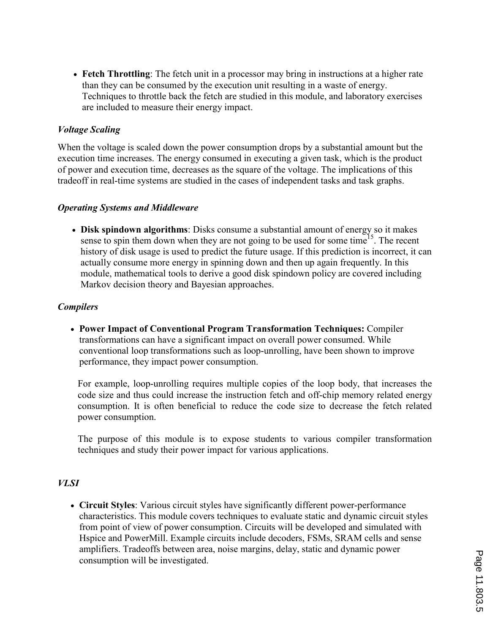• Fetch Throttling: The fetch unit in a processor may bring in instructions at a higher rate than they can be consumed by the execution unit resulting in a waste of energy. Techniques to throttle back the fetch are studied in this module, and laboratory exercises are included to measure their energy impact.

### Voltage Scaling

When the voltage is scaled down the power consumption drops by a substantial amount but the execution time increases. The energy consumed in executing a given task, which is the product of power and execution time, decreases as the square of the voltage. The implications of this tradeoff in real-time systems are studied in the cases of independent tasks and task graphs.

#### Operating Systems and Middleware

• Disk spindown algorithms: Disks consume a substantial amount of energy so it makes sense to spin them down when they are not going to be used for some time<sup>15</sup>. The recent history of disk usage is used to predict the future usage. If this prediction is incorrect, it can actually consume more energy in spinning down and then up again frequently. In this module, mathematical tools to derive a good disk spindown policy are covered including Markov decision theory and Bayesian approaches.

#### **Compilers**

• Power Impact of Conventional Program Transformation Techniques: Compiler transformations can have a significant impact on overall power consumed. While conventional loop transformations such as loop-unrolling, have been shown to improve performance, they impact power consumption.

For example, loop-unrolling requires multiple copies of the loop body, that increases the code size and thus could increase the instruction fetch and off-chip memory related energy consumption. It is often beneficial to reduce the code size to decrease the fetch related power consumption.

The purpose of this module is to expose students to various compiler transformation techniques and study their power impact for various applications.

#### VLSI

• Circuit Styles: Various circuit styles have significantly different power-performance characteristics. This module covers techniques to evaluate static and dynamic circuit styles from point of view of power consumption. Circuits will be developed and simulated with Hspice and PowerMill. Example circuits include decoders, FSMs, SRAM cells and sense amplifiers. Tradeoffs between area, noise margins, delay, static and dynamic power consumption will be investigated.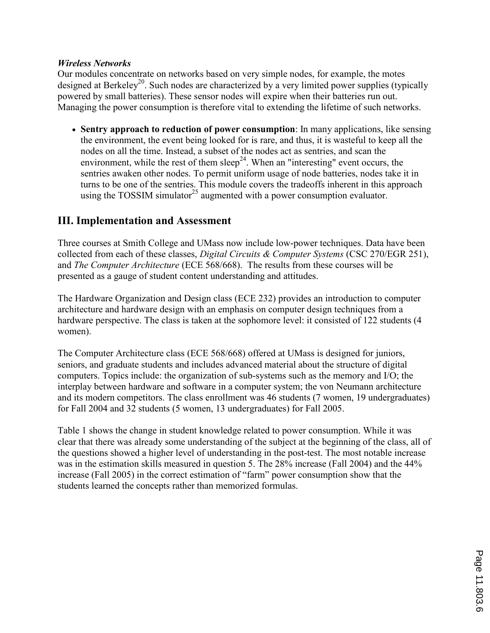### Wireless Networks

Our modules concentrate on networks based on very simple nodes, for example, the motes designed at Berkeley<sup>20</sup>. Such nodes are characterized by a very limited power supplies (typically powered by small batteries). These sensor nodes will expire when their batteries run out. Managing the power consumption is therefore vital to extending the lifetime of such networks.

• Sentry approach to reduction of power consumption: In many applications, like sensing the environment, the event being looked for is rare, and thus, it is wasteful to keep all the nodes on all the time. Instead, a subset of the nodes act as sentries, and scan the environment, while the rest of them sleep<sup>24</sup>. When an "interesting" event occurs, the sentries awaken other nodes. To permit uniform usage of node batteries, nodes take it in turns to be one of the sentries. This module covers the tradeoffs inherent in this approach using the TOSSIM simulator<sup>25</sup> augmented with a power consumption evaluator.

# III. Implementation and Assessment

Three courses at Smith College and UMass now include low-power techniques. Data have been collected from each of these classes, Digital Circuits & Computer Systems (CSC 270/EGR 251), and The Computer Architecture (ECE 568/668). The results from these courses will be presented as a gauge of student content understanding and attitudes.

The Hardware Organization and Design class (ECE 232) provides an introduction to computer architecture and hardware design with an emphasis on computer design techniques from a hardware perspective. The class is taken at the sophomore level: it consisted of 122 students (4 women).

The Computer Architecture class (ECE 568/668) offered at UMass is designed for juniors, seniors, and graduate students and includes advanced material about the structure of digital computers. Topics include: the organization of sub-systems such as the memory and I/O; the interplay between hardware and software in a computer system; the von Neumann architecture and its modern competitors. The class enrollment was 46 students (7 women, 19 undergraduates) for Fall 2004 and 32 students (5 women, 13 undergraduates) for Fall 2005.

Table 1 shows the change in student knowledge related to power consumption. While it was clear that there was already some understanding of the subject at the beginning of the class, all of the questions showed a higher level of understanding in the post-test. The most notable increase was in the estimation skills measured in question 5. The 28% increase (Fall 2004) and the 44% increase (Fall 2005) in the correct estimation of "farm" power consumption show that the students learned the concepts rather than memorized formulas.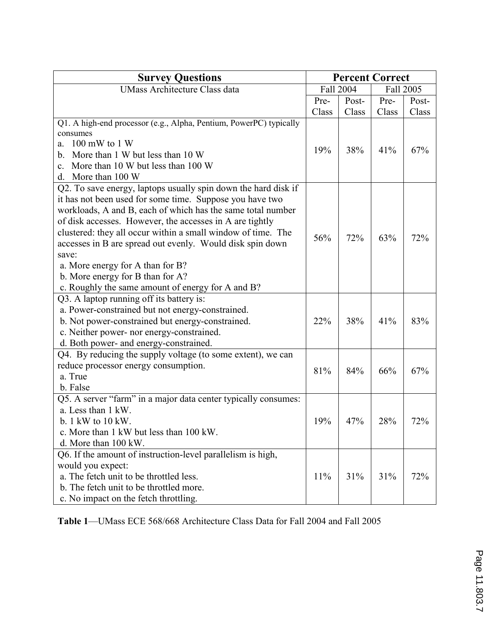| <b>Survey Questions</b>                                            | <b>Percent Correct</b> |                        |       |       |
|--------------------------------------------------------------------|------------------------|------------------------|-------|-------|
| <b>UMass Architecture Class data</b>                               |                        | Fall 2004<br>Fall 2005 |       |       |
|                                                                    | Pre-                   | Post-                  | Pre-  | Post- |
|                                                                    | Class                  | Class                  | Class | Class |
| Q1. A high-end processor (e.g., Alpha, Pentium, PowerPC) typically |                        |                        |       |       |
| consumes                                                           |                        |                        |       |       |
| $100 \text{ mW}$ to $1 \text{W}$<br>a.                             | 19%                    | 38%                    | 41%   | 67%   |
| More than 1 W but less than 10 W<br>b.                             |                        |                        |       |       |
| More than 10 W but less than 100 W<br>$\mathbf{c}$ .               |                        |                        |       |       |
| d. More than 100 W                                                 |                        |                        |       |       |
| Q2. To save energy, laptops usually spin down the hard disk if     |                        |                        |       |       |
| it has not been used for some time. Suppose you have two           |                        |                        |       |       |
| workloads, A and B, each of which has the same total number        |                        |                        |       |       |
| of disk accesses. However, the accesses in A are tightly           |                        |                        |       |       |
| clustered: they all occur within a small window of time. The       | 56%                    | 72%                    | 63%   | 72%   |
| accesses in B are spread out evenly. Would disk spin down          |                        |                        |       |       |
| save:                                                              |                        |                        |       |       |
| a. More energy for A than for B?                                   |                        |                        |       |       |
| b. More energy for B than for A?                                   |                        |                        |       |       |
| c. Roughly the same amount of energy for A and B?                  |                        |                        |       |       |
| Q3. A laptop running off its battery is:                           |                        |                        |       |       |
| a. Power-constrained but not energy-constrained.                   |                        |                        |       |       |
| b. Not power-constrained but energy-constrained.                   | 22%                    | 38%                    | 41%   | 83%   |
| c. Neither power- nor energy-constrained.                          |                        |                        |       |       |
| d. Both power- and energy-constrained.                             |                        |                        |       |       |
| Q4. By reducing the supply voltage (to some extent), we can        |                        |                        |       |       |
| reduce processor energy consumption.                               | 81%                    | 84%                    | 66%   | 67%   |
| a. True                                                            |                        |                        |       |       |
| b. False                                                           |                        |                        |       |       |
| Q5. A server "farm" in a major data center typically consumes:     |                        |                        |       |       |
| a. Less than 1 kW.                                                 |                        |                        |       |       |
| b. $1 \text{ kW}$ to $10 \text{ kW}$ .                             | 19%                    | 47%                    | 28%   | 72%   |
| c. More than 1 kW but less than 100 kW.                            |                        |                        |       |       |
| d. More than 100 kW.                                               |                        |                        |       |       |
| Q6. If the amount of instruction-level parallelism is high,        |                        |                        |       |       |
| would you expect:                                                  |                        |                        |       |       |
| a. The fetch unit to be throttled less.                            | 11%                    | 31%                    | 31%   | 72%   |
| b. The fetch unit to be throttled more.                            |                        |                        |       |       |
| c. No impact on the fetch throttling.                              |                        |                        |       |       |

Table 1—UMass ECE 568/668 Architecture Class Data for Fall 2004 and Fall 2005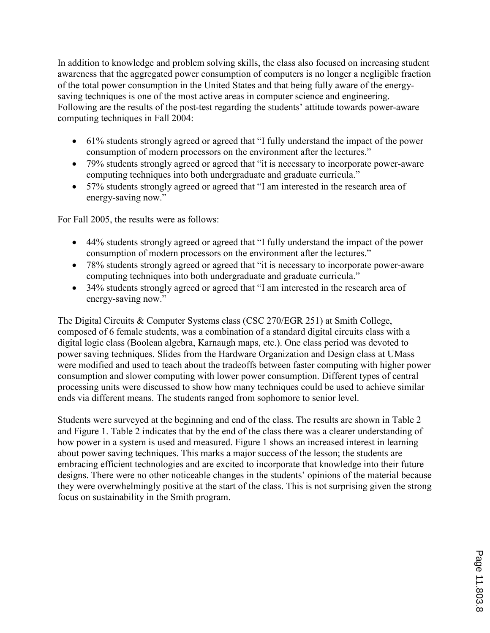In addition to knowledge and problem solving skills, the class also focused on increasing student awareness that the aggregated power consumption of computers is no longer a negligible fraction of the total power consumption in the United States and that being fully aware of the energysaving techniques is one of the most active areas in computer science and engineering. Following are the results of the post-test regarding the students' attitude towards power-aware computing techniques in Fall 2004:

- 61% students strongly agreed or agreed that "I fully understand the impact of the power consumption of modern processors on the environment after the lectures."
- 79% students strongly agreed or agreed that "it is necessary to incorporate power-aware computing techniques into both undergraduate and graduate curricula."
- 57% students strongly agreed or agreed that "I am interested in the research area of energy-saving now."

For Fall 2005, the results were as follows:

- 44% students strongly agreed or agreed that "I fully understand the impact of the power consumption of modern processors on the environment after the lectures."
- 78% students strongly agreed or agreed that "it is necessary to incorporate power-aware computing techniques into both undergraduate and graduate curricula."
- 34% students strongly agreed or agreed that "I am interested in the research area of energy-saving now."

The Digital Circuits & Computer Systems class (CSC 270/EGR 251) at Smith College, composed of 6 female students, was a combination of a standard digital circuits class with a digital logic class (Boolean algebra, Karnaugh maps, etc.). One class period was devoted to power saving techniques. Slides from the Hardware Organization and Design class at UMass were modified and used to teach about the tradeoffs between faster computing with higher power consumption and slower computing with lower power consumption. Different types of central processing units were discussed to show how many techniques could be used to achieve similar ends via different means. The students ranged from sophomore to senior level.

Students were surveyed at the beginning and end of the class. The results are shown in Table 2 and Figure 1. Table 2 indicates that by the end of the class there was a clearer understanding of how power in a system is used and measured. Figure 1 shows an increased interest in learning about power saving techniques. This marks a major success of the lesson; the students are embracing efficient technologies and are excited to incorporate that knowledge into their future designs. There were no other noticeable changes in the students' opinions of the material because they were overwhelmingly positive at the start of the class. This is not surprising given the strong focus on sustainability in the Smith program.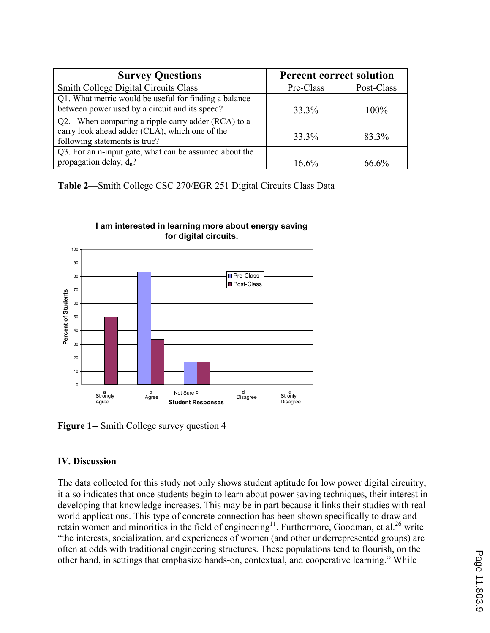| <b>Survey Questions</b>                                                         | <b>Percent correct solution</b> |            |  |  |
|---------------------------------------------------------------------------------|---------------------------------|------------|--|--|
| <b>Smith College Digital Circuits Class</b>                                     | Pre-Class                       | Post-Class |  |  |
| Q1. What metric would be useful for finding a balance                           |                                 |            |  |  |
| between power used by a circuit and its speed?                                  | 33.3%                           | 100%       |  |  |
| Q2. When comparing a ripple carry adder (RCA) to a                              |                                 |            |  |  |
| carry look ahead adder (CLA), which one of the<br>following statements is true? | 33.3%                           | 83.3%      |  |  |
| Q3. For an n-input gate, what can be assumed about the                          |                                 |            |  |  |
| propagation delay, $d_n$ ?                                                      | $16.6\%$                        | $66.6\%$   |  |  |

Table 2—Smith College CSC 270/EGR 251 Digital Circuits Class Data



#### I am interested in learning more about energy saving for digital circuits.

Figure 1-- Smith College survey question 4

# IV. Discussion

The data collected for this study not only shows student aptitude for low power digital circuitry; it also indicates that once students begin to learn about power saving techniques, their interest in developing that knowledge increases. This may be in part because it links their studies with real world applications. This type of concrete connection has been shown specifically to draw and retain women and minorities in the field of engineering<sup>11</sup>. Furthermore, Goodman, et al.<sup>26</sup> write "the interests, socialization, and experiences of women (and other underrepresented groups) are often at odds with traditional engineering structures. These populations tend to flourish, on the other hand, in settings that emphasize hands-on, contextual, and cooperative learning." While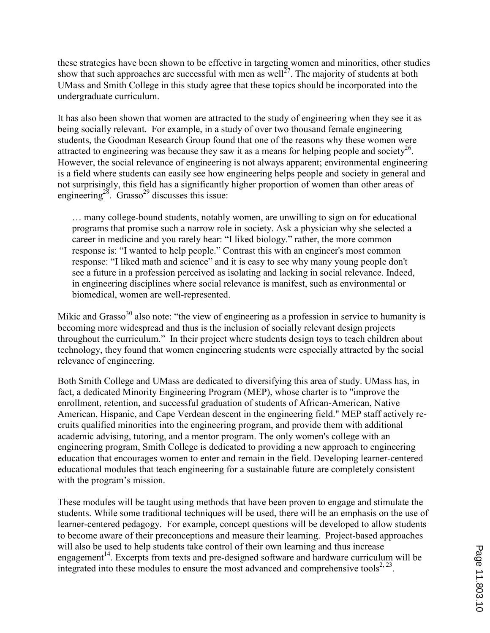these strategies have been shown to be effective in targeting women and minorities, other studies show that such approaches are successful with men as well<sup>27</sup>. The majority of students at both UMass and Smith College in this study agree that these topics should be incorporated into the undergraduate curriculum.

It has also been shown that women are attracted to the study of engineering when they see it as being socially relevant. For example, in a study of over two thousand female engineering students, the Goodman Research Group found that one of the reasons why these women were attracted to engineering was because they saw it as a means for helping people and society<sup>26</sup>. However, the social relevance of engineering is not always apparent; environmental engineering is a field where students can easily see how engineering helps people and society in general and not surprisingly, this field has a significantly higher proportion of women than other areas of engineering<sup>28</sup>. Grasso<sup>29</sup> discusses this issue:

… many college-bound students, notably women, are unwilling to sign on for educational programs that promise such a narrow role in society. Ask a physician why she selected a career in medicine and you rarely hear: "I liked biology." rather, the more common response is: "I wanted to help people." Contrast this with an engineer's most common response: "I liked math and science" and it is easy to see why many young people don't see a future in a profession perceived as isolating and lacking in social relevance. Indeed, in engineering disciplines where social relevance is manifest, such as environmental or biomedical, women are well-represented.

Mikic and Grasso<sup>30</sup> also note: "the view of engineering as a profession in service to humanity is becoming more widespread and thus is the inclusion of socially relevant design projects throughout the curriculum." In their project where students design toys to teach children about technology, they found that women engineering students were especially attracted by the social relevance of engineering.

Both Smith College and UMass are dedicated to diversifying this area of study. UMass has, in fact, a dedicated Minority Engineering Program (MEP), whose charter is to "improve the enrollment, retention, and successful graduation of students of African-American, Native American, Hispanic, and Cape Verdean descent in the engineering field." MEP staff actively recruits qualified minorities into the engineering program, and provide them with additional academic advising, tutoring, and a mentor program. The only women's college with an engineering program, Smith College is dedicated to providing a new approach to engineering education that encourages women to enter and remain in the field. Developing learner-centered educational modules that teach engineering for a sustainable future are completely consistent with the program's mission.

These modules will be taught using methods that have been proven to engage and stimulate the students. While some traditional techniques will be used, there will be an emphasis on the use of learner-centered pedagogy. For example, concept questions will be developed to allow students to become aware of their preconceptions and measure their learning. Project-based approaches will also be used to help students take control of their own learning and thus increase engagement<sup>14</sup>. Excerpts from texts and pre-designed software and hardware curriculum will be integrated into these modules to ensure the most advanced and comprehensive tools<sup>2, 23</sup>.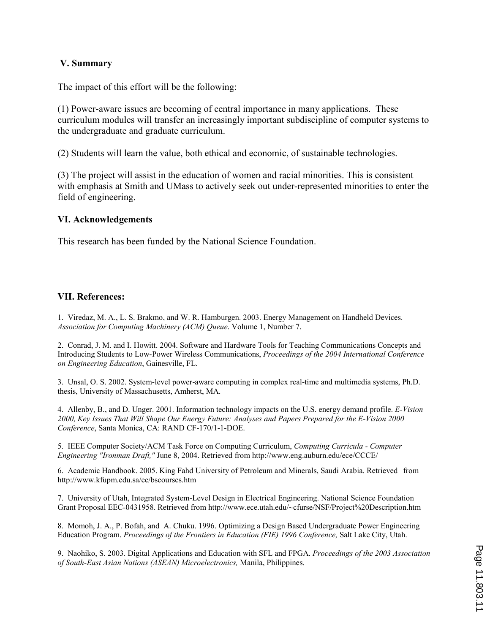### V. Summary

The impact of this effort will be the following:

(1) Power-aware issues are becoming of central importance in many applications. These curriculum modules will transfer an increasingly important subdiscipline of computer systems to the undergraduate and graduate curriculum.

(2) Students will learn the value, both ethical and economic, of sustainable technologies.

(3) The project will assist in the education of women and racial minorities. This is consistent with emphasis at Smith and UMass to actively seek out under-represented minorities to enter the field of engineering.

### VI. Acknowledgements

This research has been funded by the National Science Foundation.

### VII. References:

1. Viredaz, M. A., L. S. Brakmo, and W. R. Hamburgen. 2003. Energy Management on Handheld Devices. Association for Computing Machinery (ACM) Queue. Volume 1, Number 7.

2. Conrad, J. M. and I. Howitt. 2004. Software and Hardware Tools for Teaching Communications Concepts and Introducing Students to Low-Power Wireless Communications, Proceedings of the 2004 International Conference on Engineering Education, Gainesville, FL.

3. Unsal, O. S. 2002. System-level power-aware computing in complex real-time and multimedia systems, Ph.D. thesis, University of Massachusetts, Amherst, MA.

4. Allenby, B., and D. Unger. 2001. Information technology impacts on the U.S. energy demand profile. E-Vision 2000, Key Issues That Will Shape Our Energy Future: Analyses and Papers Prepared for the E-Vision 2000 Conference, Santa Monica, CA: RAND CF-170/1-1-DOE.

5. IEEE Computer Society/ACM Task Force on Computing Curriculum, Computing Curricula - Computer Engineering "Ironman Draft," June 8, 2004. Retrieved from http://www.eng.auburn.edu/ece/CCCE/

6. Academic Handbook. 2005. King Fahd University of Petroleum and Minerals, Saudi Arabia. Retrieved from http://www.kfupm.edu.sa/ee/bscourses.htm

7. University of Utah, Integrated System-Level Design in Electrical Engineering. National Science Foundation Grant Proposal EEC-0431958. Retrieved from http://www.ece.utah.edu/~cfurse/NSF/Project%20Description.htm

8. Momoh, J. A., P. Bofah, and A. Chuku. 1996. Optimizing a Design Based Undergraduate Power Engineering Education Program. Proceedings of the Frontiers in Education (FIE) 1996 Conference, Salt Lake City, Utah.

9. Naohiko, S. 2003. Digital Applications and Education with SFL and FPGA. Proceedings of the 2003 Association of South-East Asian Nations (ASEAN) Microelectronics, Manila, Philippines.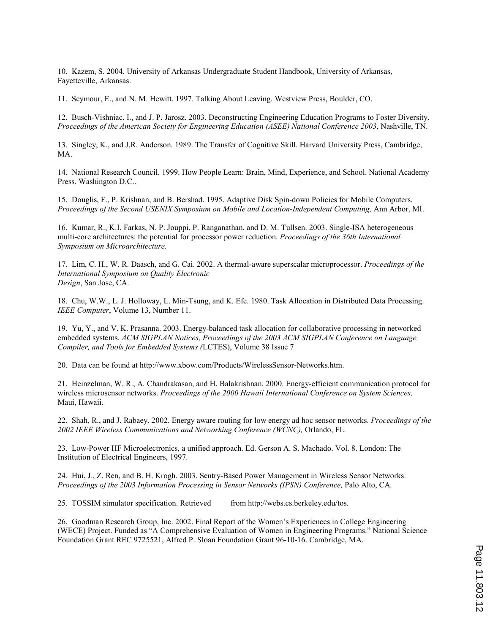10. Kazem, S. 2004. University of Arkansas Undergraduate Student Handbook, University of Arkansas, Fayetteville, Arkansas.

11. Seymour, E., and N. M. Hewitt. 1997. Talking About Leaving. Westview Press, Boulder, CO.

12. Busch-Vishniac, I., and J. P. Jarosz. 2003. Deconstructing Engineering Education Programs to Foster Diversity. Proceedings of the American Society for Engineering Education (ASEE) National Conference 2003, Nashville, TN.

13. Singley, K., and J.R. Anderson. 1989. The Transfer of Cognitive Skill. Harvard University Press, Cambridge, MA.

14. National Research Council. 1999. How People Learn: Brain, Mind, Experience, and School. National Academy Press. Washington D.C..

15. Douglis, F., P. Krishnan, and B. Bershad. 1995. Adaptive Disk Spin-down Policies for Mobile Computers. Proceedings of the Second USENIX Symposium on Mobile and Location-Independent Computing, Ann Arbor, MI.

16. Kumar, R., K.I. Farkas, N. P. Jouppi, P. Ranganathan, and D. M. Tullsen. 2003. Single-ISA heterogeneous multi-core architectures: the potential for processor power reduction. Proceedings of the 36th International Symposium on Microarchitecture.

17. Lim, C. H., W. R. Daasch, and G. Cai. 2002. A thermal-aware superscalar microprocessor. Proceedings of the International Symposium on Quality Electronic Design, San Jose, CA.

18. Chu, W.W., L. J. Holloway, L. Min-Tsung, and K. Efe. 1980. Task Allocation in Distributed Data Processing. IEEE Computer, Volume 13, Number 11.

19. Yu, Y., and V. K. Prasanna. 2003. Energy-balanced task allocation for collaborative processing in networked embedded systems. ACM SIGPLAN Notices, Proceedings of the 2003 ACM SIGPLAN Conference on Language, Compiler, and Tools for Embedded Systems (LCTES), Volume 38 Issue 7

20. Data can be found at http://www.xbow.com/Products/WirelessSensor-Networks.htm.

21. Heinzelman, W. R., A. Chandrakasan, and H. Balakrishnan. 2000. Energy-efficient communication protocol for wireless microsensor networks. Proceedings of the 2000 Hawaii International Conference on System Sciences, Maui, Hawaii.

22. Shah, R., and J. Rabaey. 2002. Energy aware routing for low energy ad hoc sensor networks. Proceedings of the 2002 IEEE Wireless Communications and Networking Conference (WCNC), Orlando, FL.

23. Low-Power HF Microelectronics, a unified approach. Ed. Gerson A. S. Machado. Vol. 8. London: The Institution of Electrical Engineers, 1997.

24. Hui, J., Z. Ren, and B. H. Krogh. 2003. Sentry-Based Power Management in Wireless Sensor Networks. Proceedings of the 2003 Information Processing in Sensor Networks (IPSN) Conference, Palo Alto, CA.

25. TOSSIM simulator specification. Retrieved from http://webs.cs.berkeley.edu/tos.

26. Goodman Research Group, Inc. 2002. Final Report of the Women's Experiences in College Engineering (WECE) Project. Funded as "A Comprehensive Evaluation of Women in Engineering Programs." National Science Foundation Grant REC 9725521, Alfred P. Sloan Foundation Grant 96-10-16. Cambridge, MA.